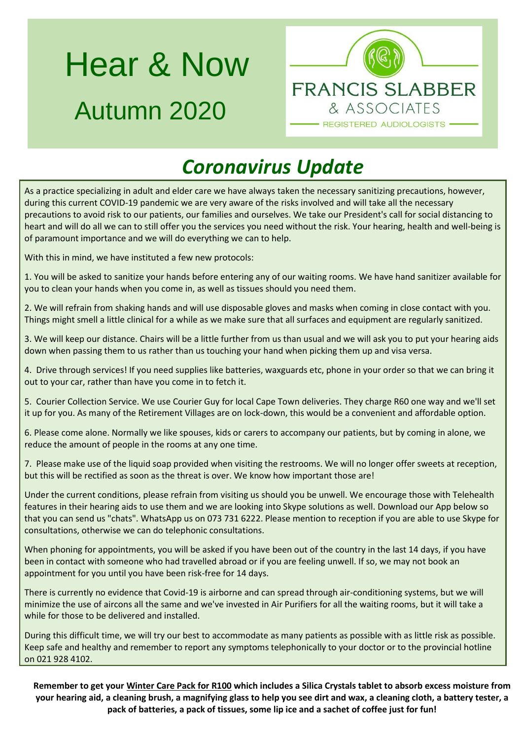# Hear & Now Autumn 2020



# *Coronavirus Update*

As a practice specializing in adult and elder care we have always taken the necessary sanitizing precautions, however, during this current COVID-19 pandemic we are very aware of the risks involved and will take all the necessary precautions to avoid risk to our patients, our families and ourselves. We take our President's call for social distancing to heart and will do all we can to still offer you the services you need without the risk. Your hearing, health and well-being is of paramount importance and we will do everything we can to help.

With this in mind, we have instituted a few new protocols:

1. You will be asked to sanitize your hands before entering any of our waiting rooms. We have hand sanitizer available for you to clean your hands when you come in, as well as tissues should you need them.

2. We will refrain from shaking hands and will use disposable gloves and masks when coming in close contact with you. Things might smell a little clinical for a while as we make sure that all surfaces and equipment are regularly sanitized.

3. We will keep our distance. Chairs will be a little further from us than usual and we will ask you to put your hearing aids down when passing them to us rather than us touching your hand when picking them up and visa versa.

4. Drive through services! If you need supplies like batteries, waxguards etc, phone in your order so that we can bring it out to your car, rather than have you come in to fetch it.

5. Courier Collection Service. We use Courier Guy for local Cape Town deliveries. They charge R60 one way and we'll set it up for you. As many of the Retirement Villages are on lock-down, this would be a convenient and affordable option.

6. Please come alone. Normally we like spouses, kids or carers to accompany our patients, but by coming in alone, we reduce the amount of people in the rooms at any one time.

7. Please make use of the liquid soap provided when visiting the restrooms. We will no longer offer sweets at reception, but this will be rectified as soon as the threat is over. We know how important those are!

Under the current conditions, please refrain from visiting us should you be unwell. We encourage those with Telehealth features in their hearing aids to use them and we are looking into Skype solutions as well. Download our App below so that you can send us "chats". WhatsApp us on 073 731 6222. Please mention to reception if you are able to use Skype for consultations, otherwise we can do telephonic consultations.

When phoning for appointments, you will be asked if you have been out of the country in the last 14 days, if you have been in contact with someone who had travelled abroad or if you are feeling unwell. If so, we may not book an appointment for you until you have been risk-free for 14 days.

There is currently no evidence that Covid-19 is airborne and can spread through air-conditioning systems, but we will minimize the use of aircons all the same and we've invested in Air Purifiers for all the waiting rooms, but it will take a while for those to be delivered and installed.

During this difficult time, we will try our best to accommodate as many patients as possible with as little risk as possible. Keep safe and healthy and remember to report any symptoms telephonically to your doctor or to the provincial hotline on 021 928 4102.

**Remember to get your Winter Care Pack for R100 which includes a Silica Crystals tablet to absorb excess moisture from your hearing aid, a cleaning brush, a magnifying glass to help you see dirt and wax, a cleaning cloth, a battery tester, a pack of batteries, a pack of tissues, some lip ice and a sachet of coffee just for fun!**